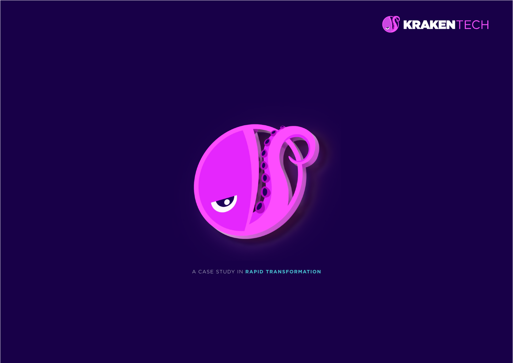



A CASE STUDY IN **RAPID TRANSFORMATION**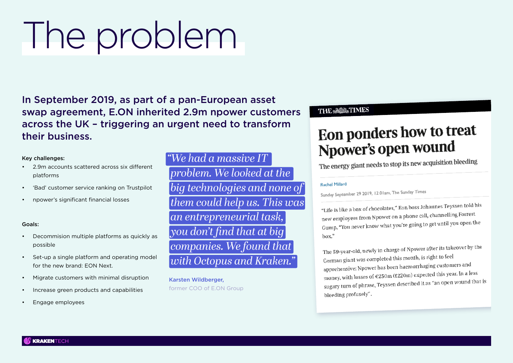# The problem

In September 2019, as part of a pan-European asset swap agreement, E.ON inherited 2.9m npower customers across the UK – triggering an urgent need to transform their business.

#### Key challenges:

- 2.9m accounts scattered across six different platforms
- 'Bad' customer service ranking on Trustpilot
- npower's significant financial losses

#### Goals:

- Decommision multiple platforms as quickly as possible
- Set-up a single platform and operating model for the new brand: EON Next.
- Migrate customers with minimal disruption
- Increase green products and capabilities
- Engage employees

*"We had a massive IT problem. We looked at the big technologies and none of them could help us. This was an entrepreneurial task, you don't find that at big companies. We found that with Octopus and Kraken."* 

 Karsten Wildberger, former COO of E.ON Group

#### **THE MES**

## Eon ponders how to treat Npower's open wound

The energy giant needs to stop its new acquisition bleeding

#### **Rachel Millard**

Sunday September 29 2019, 12.01am, The Sunday Times

"Life is like a box of chocolates," Eon boss Johannes Teyssen told his new employees from Npower on a phone call, channelling Forrest Gump. "You never know what you're going to get until you open the  $h$ ox."

The 59-year-old, newly in charge of Npower after its takeover by the German giant was completed this month, is right to feel apprehensive: Npower has been haemorrhaging customers and money, with losses of  $\epsilon$ 250m (£220m) expected this year. In a less money, with losses of €250111 (225011) experiences.<br>sugary turn of phrase, Teyssen described it as "an open wound that is bleeding profusely".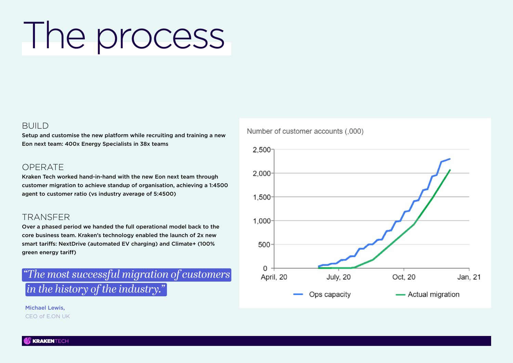# The process

#### BUILD

Setup and customise the new platform while recruiting and training a new Eon next team: 400x Energy Specialists in 38x teams

#### **OPFRATE**

Kraken Tech worked hand-in-hand with the new Eon next team through customer migration to achieve standup of organisation, achieving a 1:4500 agent to customer ratio (vs industry average of 5:4500)

#### TRANSFER

Over a phased period we handed the full operational model back to the core business team. Kraken's technology enabled the launch of 2x new smart tariffs: NextDrive (automated EV charging) and Climate+ (100% green energy tariff)

### *"The most successful migration of customers in the history of the industry."*

 Michael Lewis, CEO of E.ON UK



Number of customer accounts (.000)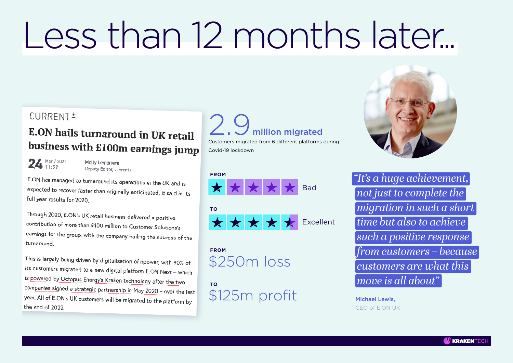# Less than 12 months later...

### CURRENT<sup>+</sup>

### E.ON hails turnaround in UK retail business with £100m earnings jump

 $24$  Mar / 2021

Molly Lempriere Deputy Editor, Current+

E.ON has managed to turnaround its operations in the UK and is expected to recover faster than originally anticipated, it said in its full year results for 2020.

Through 2020, E.ON's UK retail business delivered a positive contribution of more than £100 million to Customer Solutions's earnings for the group, with the company hailing the success of the turnaround

This is largely being driven by digitalisation of npower, with 90% of its customers migrated to a new digital platform E.ON Next - which is powered by Octopus Energy's Kraken technology after the two companies signed a strategic partnership in May 2020 - over the last year. All of E.ON's UK customers will be migrated to the platform by the end of 2022

# million migrated

Customers migrated from 6 different platforms during Covid-19 lockdown





 **FROM** \$250m loss

 **TO** \$125m profit



*"It's a huge achievement, not just to complete the migration in such a short time but also to achieve such a positive response from customers – because customers are what this move is all about"* 

 Michael Lewis, CEO of E.ON UK